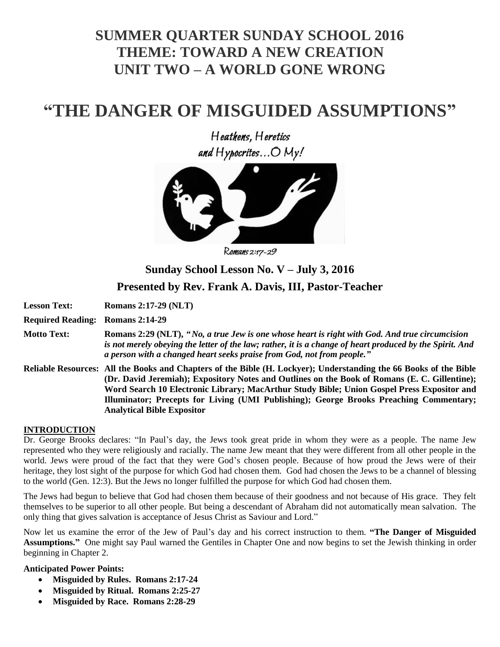# **SUMMER QUARTER SUNDAY SCHOOL 2016 THEME: TOWARD A NEW CREATION UNIT TWO – A WORLD GONE WRONG**

# **"THE DANGER OF MISGUIDED ASSUMPTIONS"**

Heathens, Heretics and Hypocrites...O My!



Romans 2:17-29

## **Sunday School Lesson No. V – July 3, 2016 Presented by Rev. Frank A. Davis, III, Pastor-Teacher**

**Lesson Text: Romans 2:17-29 (NLT)**

**Required Reading: Romans 2:14-29**

**Motto Text: Romans 2:29 (NLT),** *" No, a true Jew is one whose heart is right with God. And true circumcision is not merely obeying the letter of the law; rather, it is a change of heart produced by the Spirit. And a person with a changed heart seeks praise from God, not from people."*

**Reliable Resources: All the Books and Chapters of the Bible (H. Lockyer); Understanding the 66 Books of the Bible (Dr. David Jeremiah); Expository Notes and Outlines on the Book of Romans (E. C. Gillentine); Word Search 10 Electronic Library; MacArthur Study Bible; Union Gospel Press Expositor and Illuminator; Precepts for Living (UMI Publishing); George Brooks Preaching Commentary; Analytical Bible Expositor**

#### **INTRODUCTION**

Dr. George Brooks declares: "In Paul's day, the Jews took great pride in whom they were as a people. The name Jew represented who they were religiously and racially. The name Jew meant that they were different from all other people in the world. Jews were proud of the fact that they were God's chosen people. Because of how proud the Jews were of their heritage, they lost sight of the purpose for which God had chosen them. God had chosen the Jews to be a channel of blessing to the world (Gen. 12:3). But the Jews no longer fulfilled the purpose for which God had chosen them.

The Jews had begun to believe that God had chosen them because of their goodness and not because of His grace. They felt themselves to be superior to all other people. But being a descendant of Abraham did not automatically mean salvation. The only thing that gives salvation is acceptance of Jesus Christ as Saviour and Lord."

Now let us examine the error of the Jew of Paul's day and his correct instruction to them. **"The Danger of Misguided Assumptions."** One might say Paul warned the Gentiles in Chapter One and now begins to set the Jewish thinking in order beginning in Chapter 2.

#### **Anticipated Power Points:**

- **Misguided by Rules. Romans 2:17-24**
- **Misguided by Ritual. Romans 2:25-27**
- **Misguided by Race. Romans 2:28-29**